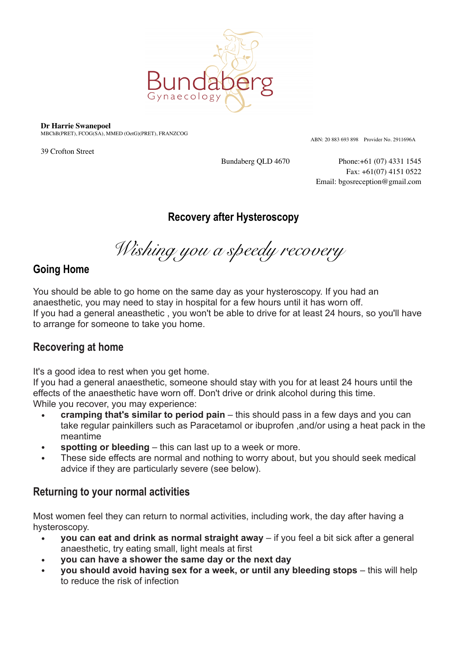

#### **Dr Harrie Swanepoel**

MBChB(PRET), FCOG(SA), MMED (OetG)(PRET), FRANZCOG

39 Crofton Street

ABN: 20 883 693 898 Provider No. 2911696A

Bundaberg QLD 4670 Phone:+61 (07) 4331 1545 Fax: +61(07) 4151 0522 Email: bgosreception@gmail.com

# **Recovery after Hysteroscopy**

*Wishing you a speedy recovery* 

# **Going Home**

You should be able to go home on the same day as your hysteroscopy. If you had an anaesthetic, you may need to stay in hospital for a few hours until it has worn off. If you had a general aneasthetic , you won't be able to drive for at least 24 hours, so you'll have to arrange for someone to take you home.

# **Recovering at home**

It's a good idea to rest when you get home.

If you had a general anaesthetic, someone should stay with you for at least 24 hours until the effects of the anaesthetic have worn off. Don't drive or drink alcohol during this time. While you recover, you may experience:

- **• cramping that's similar to period pain** this should pass in a few days and you can take regular painkillers such as Paracetamol or ibuprofen ,and/or using a heat pack in the meantime
- **• spotting or bleeding** this can last up to a week or more.
- **•** These side effects are normal and nothing to worry about, but you should seek medical advice if they are particularly severe (see below).

# **Returning to your normal activities**

Most women feel they can return to normal activities, including work, the day after having a hysteroscopy.

- **• you can eat and drink as normal straight away** if you feel a bit sick after a general anaesthetic, try eating small, light meals at first
- **• you can have a shower the same day or the next day**
- **• you should avoid having sex for a week, or until any bleeding stops** this will help to reduce the risk of infection